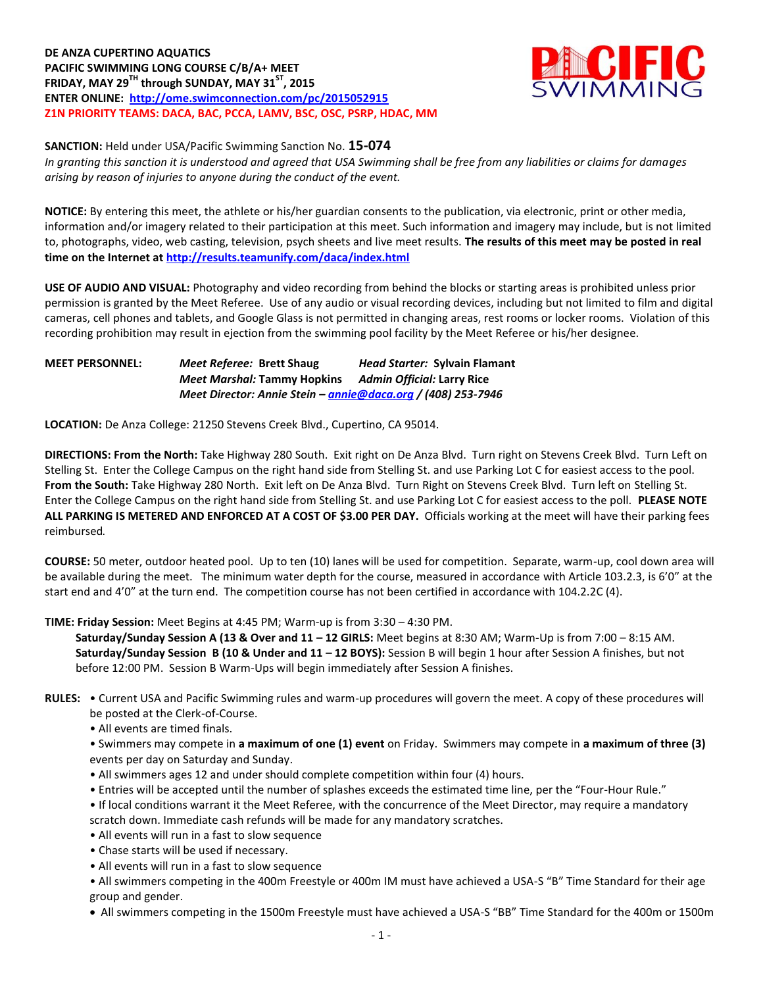**DE ANZA CUPERTINO AQUATICS PACIFIC SWIMMING LONG COURSE C/B/A+ MEET FRIDAY, MAY 29TH through SUNDAY, MAY 31ST, 2015 ENTER ONLINE: <http://ome.swimconnection.com/pc/2015052915> Z1N PRIORITY TEAMS: DACA, BAC, PCCA, LAMV, BSC, OSC, PSRP, HDAC, MM**



**SANCTION:** Held under USA/Pacific Swimming Sanction No. **15-074** *In granting this sanction it is understood and agreed that USA Swimming shall be free from any liabilities or claims for damages arising by reason of injuries to anyone during the conduct of the event.*

**NOTICE:** By entering this meet, the athlete or his/her guardian consents to the publication, via electronic, print or other media, information and/or imagery related to their participation at this meet. Such information and imagery may include, but is not limited to, photographs, video, web casting, television, psych sheets and live meet results. **The results of this meet may be posted in real time on the Internet a[t http://results.teamunify.com/daca/index.html](http://results.teamunify.com/daca/index.html)**

**USE OF AUDIO AND VISUAL:** Photography and video recording from behind the blocks or starting areas is prohibited unless prior permission is granted by the Meet Referee. Use of any audio or visual recording devices, including but not limited to film and digital cameras, cell phones and tablets, and Google Glass is not permitted in changing areas, rest rooms or locker rooms. Violation of this recording prohibition may result in ejection from the swimming pool facility by the Meet Referee or his/her designee.

**MEET PERSONNEL:** *Meet Referee:* **Brett Shaug** *Head Starter:* **Sylvain Flamant** *Meet Marshal:* **Tammy Hopkins** *Admin Official:* **Larry Rice** *Meet Director: Annie Stein – [annie@daca.org](mailto:annie@daca.org) / (408) 253-7946*

**LOCATION:** De Anza College: 21250 Stevens Creek Blvd., Cupertino, CA 95014.

**DIRECTIONS: From the North:** Take Highway 280 South. Exit right on De Anza Blvd. Turn right on Stevens Creek Blvd. Turn Left on Stelling St. Enter the College Campus on the right hand side from Stelling St. and use Parking Lot C for easiest access to the pool. **From the South:** Take Highway 280 North. Exit left on De Anza Blvd. Turn Right on Stevens Creek Blvd. Turn left on Stelling St. Enter the College Campus on the right hand side from Stelling St. and use Parking Lot C for easiest access to the poll. **PLEASE NOTE ALL PARKING IS METERED AND ENFORCED AT A COST OF \$3.00 PER DAY.** Officials working at the meet will have their parking fees reimbursed.

**COURSE:** 50 meter, outdoor heated pool. Up to ten (10) lanes will be used for competition. Separate, warm-up, cool down area will be available during the meet. The minimum water depth for the course, measured in accordance with Article 103.2.3, is 6'0" at the start end and 4'0" at the turn end. The competition course has not been certified in accordance with 104.2.2C (4).

**TIME: Friday Session:** Meet Begins at 4:45 PM; Warm-up is from 3:30 – 4:30 PM.

**Saturday/Sunday Session A (13 & Over and 11 – 12 GIRLS:** Meet begins at 8:30 AM; Warm-Up is from 7:00 – 8:15 AM. **Saturday/Sunday Session B (10 & Under and 11 – 12 BOYS):** Session B will begin 1 hour after Session A finishes, but not before 12:00 PM. Session B Warm-Ups will begin immediately after Session A finishes.

- **RULES:** Current USA and Pacific Swimming rules and warm-up procedures will govern the meet. A copy of these procedures will be posted at the Clerk-of-Course.
	- All events are timed finals.
	- Swimmers may compete in **a maximum of one (1) event** on Friday. Swimmers may compete in **a maximum of three (3)** events per day on Saturday and Sunday.
	- All swimmers ages 12 and under should complete competition within four (4) hours.
	- Entries will be accepted until the number of splashes exceeds the estimated time line, per the "Four-Hour Rule."
	- If local conditions warrant it the Meet Referee, with the concurrence of the Meet Director, may require a mandatory scratch down. Immediate cash refunds will be made for any mandatory scratches.
	- All events will run in a fast to slow sequence
	- Chase starts will be used if necessary.
	- All events will run in a fast to slow sequence

• All swimmers competing in the 400m Freestyle or 400m IM must have achieved a USA-S "B" Time Standard for their age group and gender.

All swimmers competing in the 1500m Freestyle must have achieved a USA-S "BB" Time Standard for the 400m or 1500m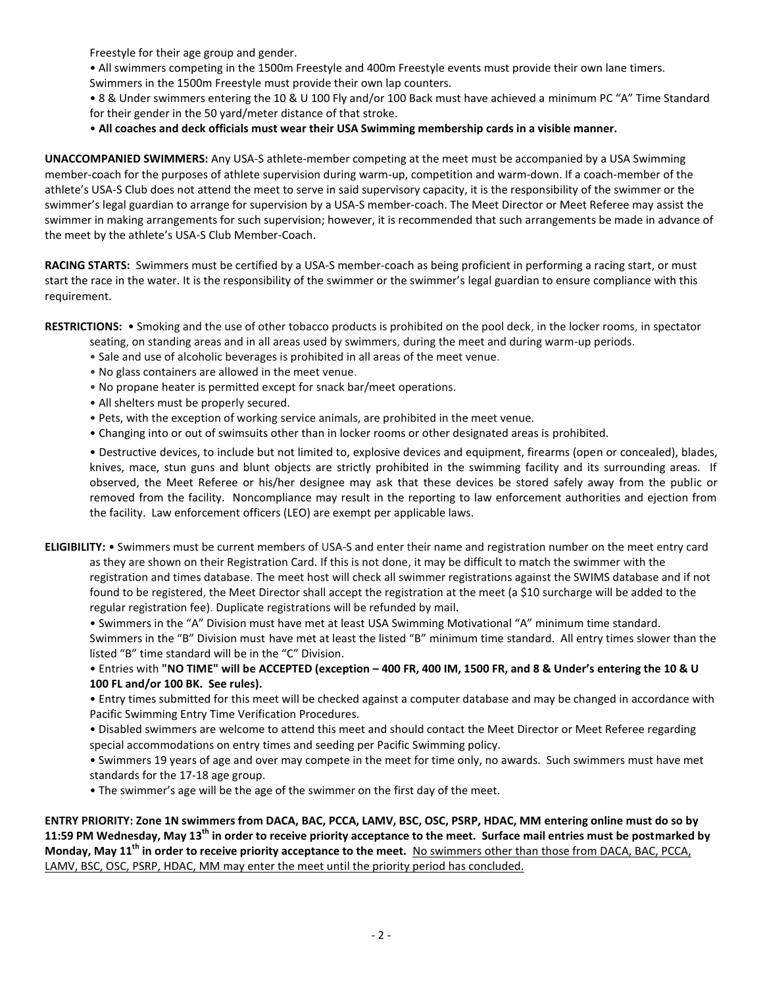Freestyle for their age group and gender.

• All swimmers competing in the 1500m Freestyle and 400m Freestyle events must provide their own lane timers.

Swimmers in the 1500m Freestyle must provide their own lap counters.

• 8 & Under swimmers entering the 10 & U 100 Fly and/or 100 Back must have achieved a minimum PC "A" Time Standard for their gender in the 50 yard/meter distance of that stroke.

• **All coaches and deck officials must wear their USA Swimming membership cards in a visible manner.** 

**UNACCOMPANIED SWIMMERS:** Any USA-S athlete-member competing at the meet must be accompanied by a USA Swimming member-coach for the purposes of athlete supervision during warm-up, competition and warm-down. If a coach-member of the athlete's USA-S Club does not attend the meet to serve in said supervisory capacity, it is the responsibility of the swimmer or the swimmer's legal guardian to arrange for supervision by a USA-S member-coach. The Meet Director or Meet Referee may assist the swimmer in making arrangements for such supervision; however, it is recommended that such arrangements be made in advance of the meet by the athlete's USA-S Club Member-Coach.

**RACING STARTS:** Swimmers must be certified by a USA-S member-coach as being proficient in performing a racing start, or must start the race in the water. It is the responsibility of the swimmer or the swimmer's legal guardian to ensure compliance with this requirement.

**RESTRICTIONS:** • Smoking and the use of other tobacco products is prohibited on the pool deck, in the locker rooms, in spectator

- seating, on standing areas and in all areas used by swimmers, during the meet and during warm-up periods.
- Sale and use of alcoholic beverages is prohibited in all areas of the meet venue.
- No glass containers are allowed in the meet venue.
- No propane heater is permitted except for snack bar/meet operations.
- All shelters must be properly secured.
- Pets, with the exception of working service animals, are prohibited in the meet venue.
- Changing into or out of swimsuits other than in locker rooms or other designated areas is prohibited.

• Destructive devices, to include but not limited to, explosive devices and equipment, firearms (open or concealed), blades, knives, mace, stun guns and blunt objects are strictly prohibited in the swimming facility and its surrounding areas. If observed, the Meet Referee or his/her designee may ask that these devices be stored safely away from the public or removed from the facility. Noncompliance may result in the reporting to law enforcement authorities and ejection from the facility. Law enforcement officers (LEO) are exempt per applicable laws.

**ELIGIBILITY:** • Swimmers must be current members of USA-S and enter their name and registration number on the meet entry card as they are shown on their Registration Card. If this is not done, it may be difficult to match the swimmer with the registration and times database. The meet host will check all swimmer registrations against the SWIMS database and if not found to be registered, the Meet Director shall accept the registration at the meet (a \$10 surcharge will be added to the regular registration fee). Duplicate registrations will be refunded by mail.

• Swimmers in the "A" Division must have met at least USA Swimming Motivational "A" minimum time standard.

Swimmers in the "B" Division must have met at least the listed "B" minimum time standard. All entry times slower than the listed "B" time standard will be in the "C" Division.

• Entries with **"NO TIME" will be ACCEPTED (exception – 400 FR, 400 IM, 1500 FR, and 8 & Under's entering the 10 & U 100 FL and/or 100 BK. See rules).**

• Entry times submitted for this meet will be checked against a computer database and may be changed in accordance with Pacific Swimming Entry Time Verification Procedures.

• Disabled swimmers are welcome to attend this meet and should contact the Meet Director or Meet Referee regarding special accommodations on entry times and seeding per Pacific Swimming policy.

• Swimmers 19 years of age and over may compete in the meet for time only, no awards. Such swimmers must have met standards for the 17-18 age group.

• The swimmer's age will be the age of the swimmer on the first day of the meet.

**ENTRY PRIORITY: Zone 1N swimmers from DACA, BAC, PCCA, LAMV, BSC, OSC, PSRP, HDAC, MM entering online must do so by 11:59 PM Wednesday, May 13th in order to receive priority acceptance to the meet. Surface mail entries must be postmarked by Monday, May 11th in order to receive priority acceptance to the meet.** No swimmers other than those from DACA, BAC, PCCA, LAMV, BSC, OSC, PSRP, HDAC, MM may enter the meet until the priority period has concluded.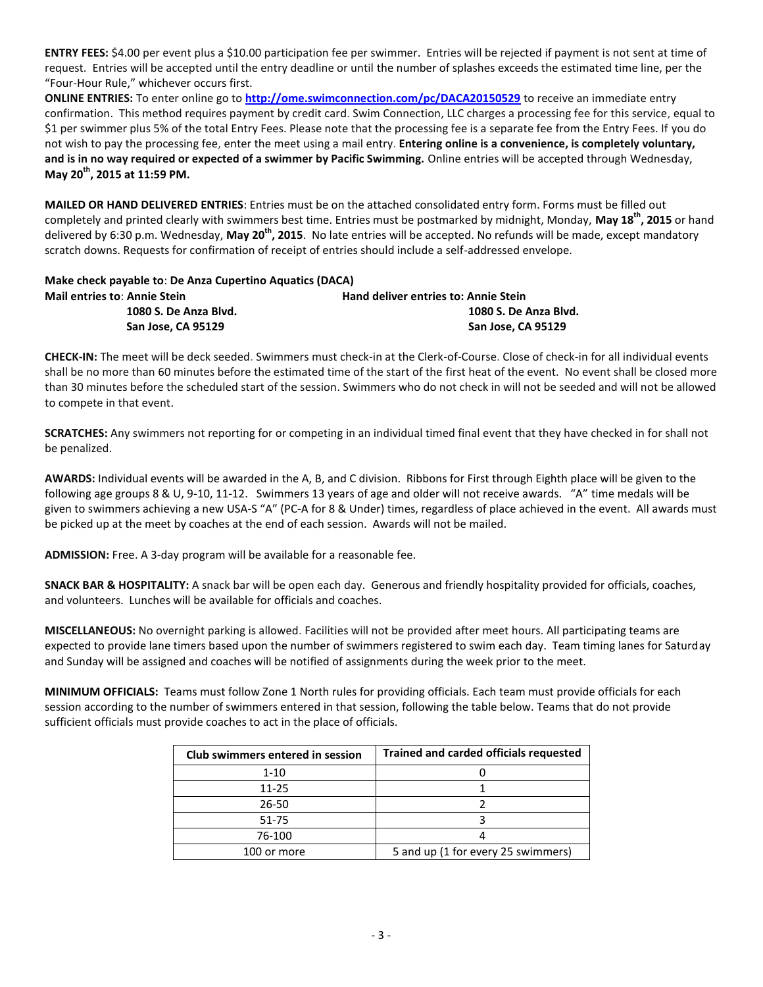**ENTRY FEES:** \$4.00 per event plus a \$10.00 participation fee per swimmer. Entries will be rejected if payment is not sent at time of request. Entries will be accepted until the entry deadline or until the number of splashes exceeds the estimated time line, per the "Four-Hour Rule," whichever occurs first.

**ONLINE ENTRIES:** To enter online go to **<http://ome.swimconnection.com/pc/DACA20150529>** to receive an immediate entry confirmation. This method requires payment by credit card. Swim Connection, LLC charges a processing fee for this service, equal to \$1 per swimmer plus 5% of the total Entry Fees. Please note that the processing fee is a separate fee from the Entry Fees. If you do not wish to pay the processing fee, enter the meet using a mail entry. **Entering online is a convenience, is completely voluntary, and is in no way required or expected of a swimmer by Pacific Swimming.** Online entries will be accepted through Wednesday, **May 20th, 2015 at 11:59 PM.**

**MAILED OR HAND DELIVERED ENTRIES**: Entries must be on the attached consolidated entry form. Forms must be filled out completely and printed clearly with swimmers best time. Entries must be postmarked by midnight, Monday, **May 18th, 2015** or hand delivered by 6:30 p.m. Wednesday, **May 20th, 2015**. No late entries will be accepted. No refunds will be made, except mandatory scratch downs. Requests for confirmation of receipt of entries should include a self-addressed envelope.

| Make check payable to: De Anza Cupertino Aquatics (DACA) |                                             |
|----------------------------------------------------------|---------------------------------------------|
| Mail entries to: Annie Stein                             | <b>Hand deliver entries to: Annie Stein</b> |
| 1080 S. De Anza Blyd.                                    | 1080 S. De Anza Blvd.                       |
| San Jose. CA 95129                                       | San Jose. CA 95129                          |

**CHECK-IN:** The meet will be deck seeded. Swimmers must check-in at the Clerk-of-Course. Close of check-in for all individual events shall be no more than 60 minutes before the estimated time of the start of the first heat of the event. No event shall be closed more than 30 minutes before the scheduled start of the session. Swimmers who do not check in will not be seeded and will not be allowed to compete in that event.

**SCRATCHES:** Any swimmers not reporting for or competing in an individual timed final event that they have checked in for shall not be penalized.

**AWARDS:** Individual events will be awarded in the A, B, and C division. Ribbons for First through Eighth place will be given to the following age groups 8 & U, 9-10, 11-12. Swimmers 13 years of age and older will not receive awards. "A" time medals will be given to swimmers achieving a new USA-S "A" (PC-A for 8 & Under) times, regardless of place achieved in the event. All awards must be picked up at the meet by coaches at the end of each session. Awards will not be mailed.

**ADMISSION:** Free. A 3-day program will be available for a reasonable fee.

**SNACK BAR & HOSPITALITY:** A snack bar will be open each day. Generous and friendly hospitality provided for officials, coaches, and volunteers. Lunches will be available for officials and coaches.

**MISCELLANEOUS:** No overnight parking is allowed. Facilities will not be provided after meet hours. All participating teams are expected to provide lane timers based upon the number of swimmers registered to swim each day. Team timing lanes for Saturday and Sunday will be assigned and coaches will be notified of assignments during the week prior to the meet.

**MINIMUM OFFICIALS:** Teams must follow Zone 1 North rules for providing officials. Each team must provide officials for each session according to the number of swimmers entered in that session, following the table below. Teams that do not provide sufficient officials must provide coaches to act in the place of officials.

| Club swimmers entered in session | <b>Trained and carded officials requested</b> |
|----------------------------------|-----------------------------------------------|
| $1 - 10$                         |                                               |
| $11 - 25$                        |                                               |
| 26-50                            |                                               |
| 51-75                            |                                               |
| 76-100                           |                                               |
| 100 or more                      | 5 and up (1 for every 25 swimmers)            |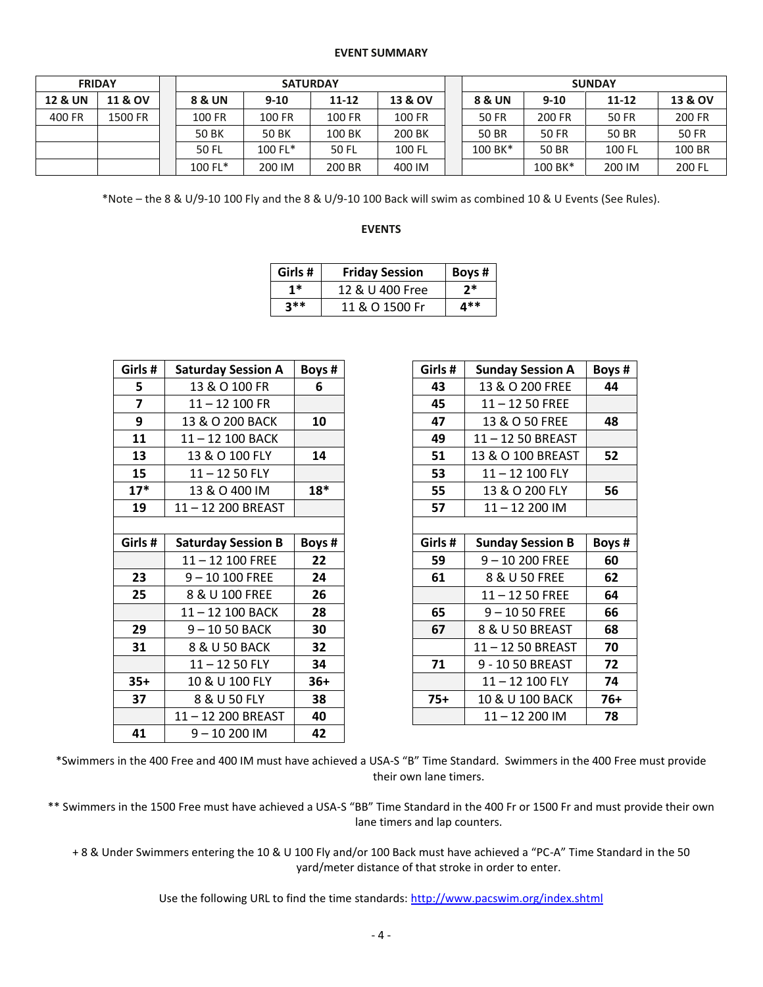## **EVENT SUMMARY**

|                    | <b>FRIDAY</b>      | <b>SATURDAY</b>                            |           |        | <b>SUNDAY</b> |              |              |        |              |
|--------------------|--------------------|--------------------------------------------|-----------|--------|---------------|--------------|--------------|--------|--------------|
| <b>12 &amp; UN</b> | <b>11 &amp; OV</b> | 8 & UN<br>13 & OV<br>$11 - 12$<br>$9 - 10$ |           |        |               | 8 & UN       | $9 - 10$     | 11-12  | 13 & OV      |
| 400 FR             | 1500 FR            | 100 FR                                     | 100 FR    | 100 FR | 100 FR        | <b>50 FR</b> | 200 FR       | 50 FR  | 200 FR       |
|                    |                    | <b>50 BK</b>                               | 50 BK     | 100 BK | 200 BK        | 50 BR        | <b>50 FR</b> | 50 BR  | <b>50 FR</b> |
|                    |                    | 50 FL                                      | $100$ FL* | 50 FL  | 100 FL        | 100 BK*      | 50 BR        | 100 FL | 100 BR       |
|                    |                    | 100 FL*                                    | 200 IM    | 200 BR | 400 IM        |              | 100 BK*      | 200 IM | 200 FL       |

\*Note – the 8 & U/9-10 100 Fly and the 8 & U/9-10 100 Back will swim as combined 10 & U Events (See Rules).

## **EVENTS**

| Girls # | <b>Friday Session</b> | Boys # |
|---------|-----------------------|--------|
| $1*$    | 12 & U 400 Free       | $2^*$  |
| $3**$   | 11 & O 1500 Fr        | 4**    |

| Girls #                 | <b>Saturday Session A</b> | Boys # |
|-------------------------|---------------------------|--------|
| 5                       | 13 & O 100 FR             | 6      |
| $\overline{\mathbf{z}}$ | 11-12 100 FR              |        |
| 9                       | 13 & O 200 BACK           | 10     |
| 11                      | 11-12 100 BACK            |        |
| 13                      | 13 & O 100 FLY            | 14     |
| 15                      | $11 - 1250$ FLY           |        |
| $17*$                   | 13 & O 400 IM             | $18*$  |
| 19                      | 11-12 200 BREAST          |        |
|                         |                           |        |
| Girls #                 | <b>Saturday Session B</b> | Boys # |
|                         |                           |        |
|                         | 11-12 100 FREE            | 22     |
| 23                      | 9-10 100 FREE             | 24     |
| 25                      | 8 & U 100 FREE            | 26     |
|                         | 11-12 100 BACK            | 28     |
| 29                      | 9-1050 BACK               | 30     |
| 31                      | 8 & U 50 BACK             | 32     |
|                         | 11-1250 FLY               | 34     |
| $35+$                   | 10 & U 100 FLY            | $36+$  |
| 37                      | 8 & U 50 FLY              | 38     |
|                         | 11-12 200 BREAST          | 40     |

| Girls# | <b>Sunday Session A</b> | Boys # |
|--------|-------------------------|--------|
| 43     | 13 & O 200 FREE         | 44     |
| 45     | $11 - 1250$ FREE        |        |
| 47     | 13 & O 50 FREE          | 48     |
| 49     | 11-12 50 BREAST         |        |
| 51     | 13 & O 100 BREAST       | 52     |
| 53     | 11-12 100 FLY           |        |
| 55     | 13 & O 200 FLY          | 56     |
| 57     | 11-12 200 IM            |        |
|        |                         |        |
| Girls# | <b>Sunday Session B</b> | Boys#  |
| 59     | 9-10 200 FREE           | 60     |
| 61     | 8 & U 50 FREE           | 62     |
|        | $11 - 1250$ FREE        | 64     |
| 65     | $9 - 1050$ FREE         | 66     |
| 67     | 8 & U 50 BREAST         | 68     |
|        | 11-12 50 BREAST         | 70     |
| 71     | 9 - 10 50 BREAST        | 72     |
|        | 11-12 100 FLY           | 74     |
| $75+$  | 10 & U 100 BACK         | $76+$  |
|        | 11 – 12 200 IM          | 78     |

\*Swimmers in the 400 Free and 400 IM must have achieved a USA-S "B" Time Standard. Swimmers in the 400 Free must provide their own lane timers.

\*\* Swimmers in the 1500 Free must have achieved a USA-S "BB" Time Standard in the 400 Fr or 1500 Fr and must provide their own lane timers and lap counters.

+ 8 & Under Swimmers entering the 10 & U 100 Fly and/or 100 Back must have achieved a "PC-A" Time Standard in the 50 yard/meter distance of that stroke in order to enter.

Use the following URL to find the time standards:<http://www.pacswim.org/index.shtml>